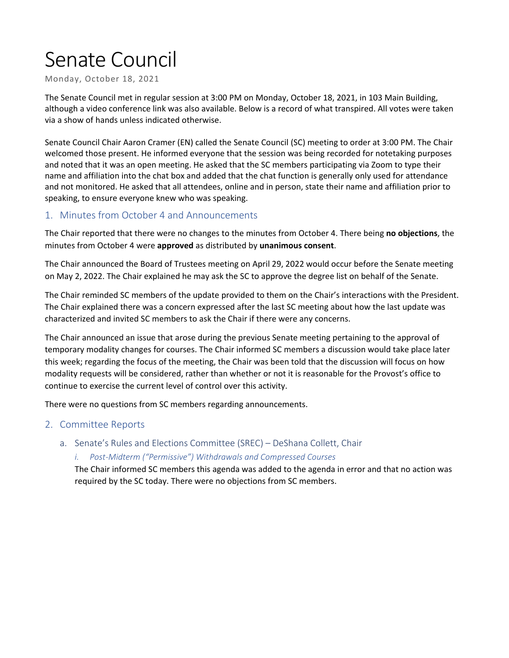# Senate Council

Monday, October 18, 2021

The Senate Council met in regular session at 3:00 PM on Monday, October 18, 2021, in 103 Main Building, although a video conference link was also available. Below is a record of what transpired. All votes were taken via a show of hands unless indicated otherwise.

Senate Council Chair Aaron Cramer (EN) called the Senate Council (SC) meeting to order at 3:00 PM. The Chair welcomed those present. He informed everyone that the session was being recorded for notetaking purposes and noted that it was an open meeting. He asked that the SC members participating via Zoom to type their name and affiliation into the chat box and added that the chat function is generally only used for attendance and not monitored. He asked that all attendees, online and in person, state their name and affiliation prior to speaking, to ensure everyone knew who was speaking.

# 1. Minutes from October 4 and Announcements

The Chair reported that there were no changes to the minutes from October 4. There being **no objections**, the minutes from October 4 were **approved** as distributed by **unanimous consent**.

The Chair announced the Board of Trustees meeting on April 29, 2022 would occur before the Senate meeting on May 2, 2022. The Chair explained he may ask the SC to approve the degree list on behalf of the Senate.

The Chair reminded SC members of the update provided to them on the Chair's interactions with the President. The Chair explained there was a concern expressed after the last SC meeting about how the last update was characterized and invited SC members to ask the Chair if there were any concerns.

The Chair announced an issue that arose during the previous Senate meeting pertaining to the approval of temporary modality changes for courses. The Chair informed SC members a discussion would take place later this week; regarding the focus of the meeting, the Chair was been told that the discussion will focus on how modality requests will be considered, rather than whether or not it is reasonable for the Provost's office to continue to exercise the current level of control over this activity.

There were no questions from SC members regarding announcements.

#### 2. Committee Reports

a. Senate's Rules and Elections Committee (SREC) – DeShana Collett, Chair

#### *i. Post-Midterm ("Permissive") Withdrawals and Compressed Courses*

The Chair informed SC members this agenda was added to the agenda in error and that no action was required by the SC today. There were no objections from SC members.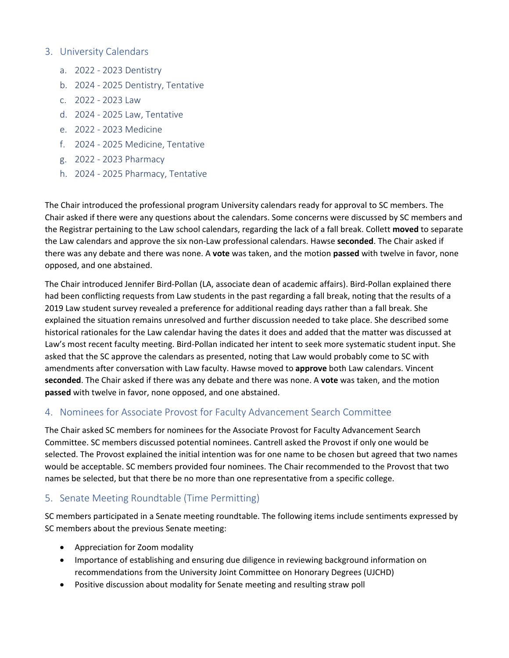#### 3. University Calendars

- a. 2022 2023 Dentistry
- b. 2024 2025 Dentistry, Tentative
- c. 2022 2023 Law
- d. 2024 2025 Law, Tentative
- e. 2022 2023 Medicine
- f. 2024 2025 Medicine, Tentative
- g. 2022 2023 Pharmacy
- h. 2024 2025 Pharmacy, Tentative

The Chair introduced the professional program University calendars ready for approval to SC members. The Chair asked if there were any questions about the calendars. Some concerns were discussed by SC members and the Registrar pertaining to the Law school calendars, regarding the lack of a fall break. Collett **moved** to separate the Law calendars and approve the six non-Law professional calendars. Hawse **seconded**. The Chair asked if there was any debate and there was none. A **vote** was taken, and the motion **passed** with twelve in favor, none opposed, and one abstained.

The Chair introduced Jennifer Bird-Pollan (LA, associate dean of academic affairs). Bird-Pollan explained there had been conflicting requests from Law students in the past regarding a fall break, noting that the results of a 2019 Law student survey revealed a preference for additional reading days rather than a fall break. She explained the situation remains unresolved and further discussion needed to take place. She described some historical rationales for the Law calendar having the dates it does and added that the matter was discussed at Law's most recent faculty meeting. Bird-Pollan indicated her intent to seek more systematic student input. She asked that the SC approve the calendars as presented, noting that Law would probably come to SC with amendments after conversation with Law faculty. Hawse moved to **approve** both Law calendars. Vincent **seconded**. The Chair asked if there was any debate and there was none. A **vote** was taken, and the motion **passed** with twelve in favor, none opposed, and one abstained.

# 4. Nominees for Associate Provost for Faculty Advancement Search Committee

The Chair asked SC members for nominees for the Associate Provost for Faculty Advancement Search Committee. SC members discussed potential nominees. Cantrell asked the Provost if only one would be selected. The Provost explained the initial intention was for one name to be chosen but agreed that two names would be acceptable. SC members provided four nominees. The Chair recommended to the Provost that two names be selected, but that there be no more than one representative from a specific college.

# 5. Senate Meeting Roundtable (Time Permitting)

SC members participated in a Senate meeting roundtable. The following items include sentiments expressed by SC members about the previous Senate meeting:

- Appreciation for Zoom modality
- Importance of establishing and ensuring due diligence in reviewing background information on recommendations from the University Joint Committee on Honorary Degrees (UJCHD)
- Positive discussion about modality for Senate meeting and resulting straw poll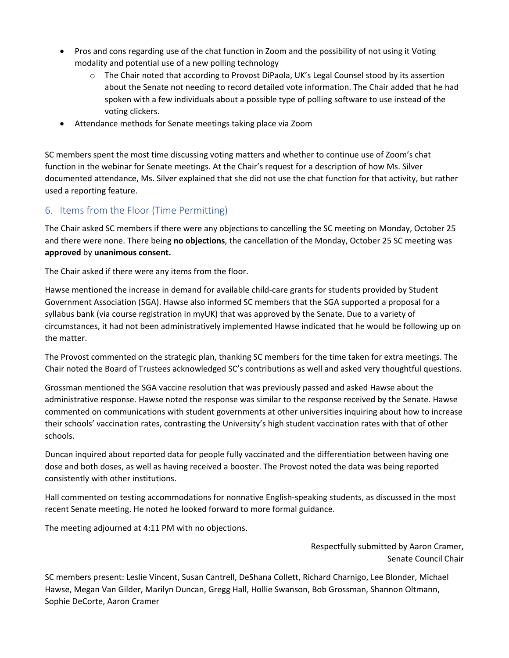- Pros and cons regarding use of the chat function in Zoom and the possibility of not using it Voting modality and potential use of a new polling technology
	- o The Chair noted that according to Provost DiPaola, UK's Legal Counsel stood by its assertion about the Senate not needing to record detailed vote information. The Chair added that he had spoken with a few individuals about a possible type of polling software to use instead of the voting clickers.
- Attendance methods for Senate meetings taking place via Zoom

SC members spent the most time discussing voting matters and whether to continue use of Zoom's chat function in the webinar for Senate meetings. At the Chair's request for a description of how Ms. Silver documented attendance, Ms. Silver explained that she did not use the chat function for that activity, but rather used a reporting feature.

# 6. Items from the Floor (Time Permitting)

The Chair asked SC members if there were any objections to cancelling the SC meeting on Monday, October 25 and there were none. There being **no objections**, the cancellation of the Monday, October 25 SC meeting was **approved** by **unanimous consent.**

The Chair asked if there were any items from the floor.

Hawse mentioned the increase in demand for available child-care grants for students provided by Student Government Association (SGA). Hawse also informed SC members that the SGA supported a proposal for a syllabus bank (via course registration in myUK) that was approved by the Senate. Due to a variety of circumstances, it had not been administratively implemented Hawse indicated that he would be following up on the matter.

The Provost commented on the strategic plan, thanking SC members for the time taken for extra meetings. The Chair noted the Board of Trustees acknowledged SC's contributions as well and asked very thoughtful questions.

Grossman mentioned the SGA vaccine resolution that was previously passed and asked Hawse about the administrative response. Hawse noted the response was similar to the response received by the Senate. Hawse commented on communications with student governments at other universities inquiring about how to increase their schools' vaccination rates, contrasting the University's high student vaccination rates with that of other schools.

Duncan inquired about reported data for people fully vaccinated and the differentiation between having one dose and both doses, as well as having received a booster. The Provost noted the data was being reported consistently with other institutions.

Hall commented on testing accommodations for nonnative English-speaking students, as discussed in the most recent Senate meeting. He noted he looked forward to more formal guidance.

The meeting adjourned at 4:11 PM with no objections.

Respectfully submitted by Aaron Cramer, Senate Council Chair

SC members present: Leslie Vincent, Susan Cantrell, DeShana Collett, Richard Charnigo, Lee Blonder, Michael Hawse, Megan Van Gilder, Marilyn Duncan, Gregg Hall, Hollie Swanson, Bob Grossman, Shannon Oltmann, Sophie DeCorte, Aaron Cramer